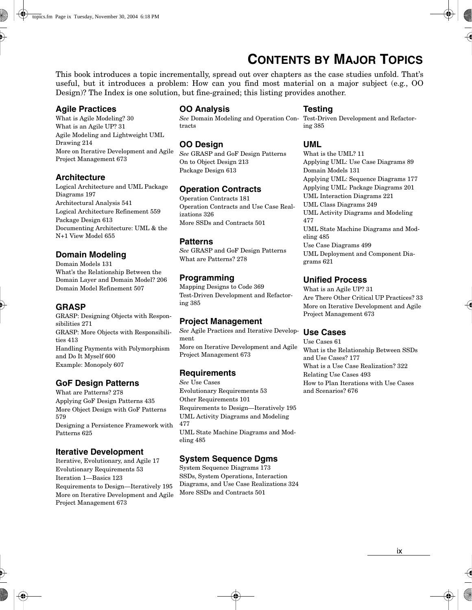# **CONTENTS BY MAJOR TOPICS**

This book introduces a topic incrementally, spread out over chapters as the case studies unfold. That's useful, but it introduces a problem: How can you find most material on a major subject (e.g., OO Design)? The Index is one solution, but fine-grained; this listing provides another.

### **Agile Practices**

What is Agile Modeling? 30 What is an Agile UP? 31 Agile Modeling and Lightweight UML Drawing 214 More on Iterative Development and Agile Project Management 673

#### **Architecture**

Logical Architecture and UML Package Diagrams 197 Architectural Analysis 541 Logical Architecture Refinement 559 Package Design 613 Documenting Architecture: UML & the N+1 View Model 655

# **Domain Modeling**

Domain Models 131 What's the Relationship Between the Domain Layer and Domain Model? 206 Domain Model Refinement 507

# **GRASP**

GRASP: Designing Objects with Responsibilities 271 GRASP: More Objects with Responsibilities 413 Handling Payments with Polymorphism and Do It Myself 600 Example: Monopoly 607

# **GoF Design Patterns**

What are Patterns? 278 Applying GoF Design Patterns 435 More Object Design with GoF Patterns 579 Designing a Persistence Framework with Patterns 625

# **Iterative Development**

Iterative, Evolutionary, and Agile 17 Evolutionary Requirements 53 Iteration 1—Basics 123 Requirements to Design—Iteratively 195 More on Iterative Development and Agile Project Management 673

#### **OO Analysis**

*See* Domain Modeling and Operation Con-Test-Driven Development and Refactortracts

# **OO Design**

*See* GRASP and GoF Design Patterns On to Object Design 213 Package Design 613

#### **Operation Contracts**

Operation Contracts 181 Operation Contracts and Use Case Realizations 326 More SSDs and Contracts 501

#### **Patterns**

*See* GRASP and GoF Design Patterns What are Patterns? 278

# **Programming**

Mapping Designs to Code 369 Test-Driven Development and Refactoring 385

# **Project Management**

*See* Agile Practices and Iterative Development More on Iterative Development and Agile Project Management 673

# **Requirements**

*See* Use Cases Evolutionary Requirements 53 Other Requirements 101 Requirements to Design—Iteratively 195 UML Activity Diagrams and Modeling 477 UML State Machine Diagrams and Modeling 485

# **System Sequence Dgms**

System Sequence Diagrams 173 SSDs, System Operations, Interaction Diagrams, and Use Case Realizations 324 More SSDs and Contracts 501

#### **Testing**

ing 385

#### **UML**

What is the UML? 11 Applying UML: Use Case Diagrams 89 Domain Models 131 Applying UML: Sequence Diagrams 177 Applying UML: Package Diagrams 201 UML Interaction Diagrams 221 UML Class Diagrams 249 UML Activity Diagrams and Modeling 477 UML State Machine Diagrams and Modeling 485 Use Case Diagrams 499 UML Deployment and Component Diagrams 621

# **Unified Process**

What is an Agile UP? 31 Are There Other Critical UP Practices? 33 More on Iterative Development and Agile Project Management 673

# **Use Cases**

Use Cases 61 What is the Relationship Between SSDs and Use Cases? 177 What is a Use Case Realization? 322 Relating Use Cases 493 How to Plan Iterations with Use Cases and Scenarios? 676